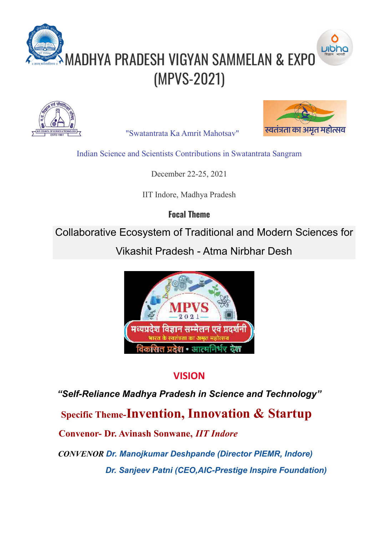



"Swatantrata Ka Amrit Mahotsav"



Indian Science and Scientists Contributions in Swatantrata Sangram

December 22-25, 2021

IIT Indore, Madhya Pradesh

**Focal Theme**

Collaborative Ecosystem of Traditional and Modern Sciences for

Vikashit Pradesh - Atma Nirbhar Desh



## **VISION**

*"Self-Reliance Madhya Pradesh in Science and Technology"*

**Specific Theme-Invention, Innovation & Startup**

**Convenor- Dr. Avinash Sonwane,** *IIT Indore*

*CONVENOR Dr. Manojkumar Deshpande (Director PIEMR, Indore) Dr. Sanjeev Patni (CEO,AIC-Prestige Inspire Foundation)*